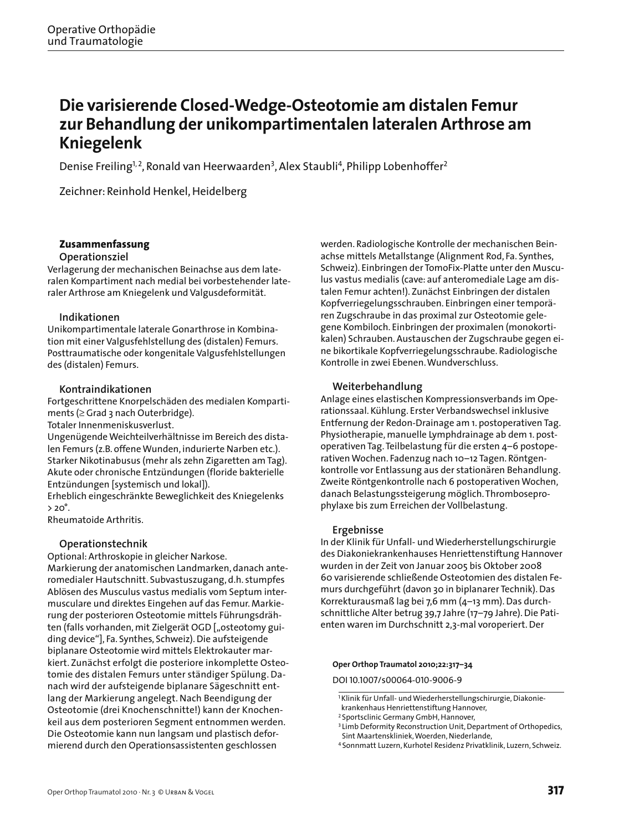# **Die varisierende Closed-Wedge-Osteotomie am distalen Femur zur Behandlung der unikompartimentalen lateralen Arthrose am Kniegelenk**

Denise Freiling<sup>1, 2</sup>, Ronald van Heerwaarden<sup>3</sup>, Alex Staubli<sup>4</sup>, Philipp Lobenhoffer<sup>2</sup>

Zeichner: Reinhold Henkel, Heidelberg

# **Zusammenfassung**

## **Operationsziel**

Verlagerung der mechanischen Beinachse aus dem lateralen Kompartiment nach medial bei vorbestehender lateraler Arthrose am Kniegelenk und Valgusdeformität.

## **Indikationen**

Unikompartimentale laterale Gonarthrose in Kombination mit einer Valgusfehlstellung des (distalen) Femurs. Posttraumatische oder kongenitale Valgusfehlstellungen des (distalen) Femurs.

## **Kontraindikationen**

Fortgeschrittene Knorpelschäden des medialen Kompartiments (≥ Grad 3 nach Outerbridge).

Totaler Innenmeniskusverlust.

Ungenügende Weichteilverhältnisse im Bereich des distalen Femurs (z.B. offene Wunden, indurierte Narben etc.). Starker Nikotinabusus (mehr als zehn Zigaretten am Tag). Akute oder chronische Entzündungen (floride bakterielle Entzündungen [systemisch und lokal]).

Erheblich eingeschränkte Beweglichkeit des Kniegelenks  $> 20^\circ$ .

Rheumatoide Arthritis.

## **Operationstechnik**

Optional: Arthroskopie in gleicher Narkose. Markierung der anatomischen Landmarken, danach anteromedialer Hautschnitt. Subvastuszugang, d.h. stumpfes Ablösen des Musculus vastus medialis vom Septum intermusculare und direktes Eingehen auf das Femur. Markierung der posterioren Osteotomie mittels Führungsdrähten (falls vorhanden, mit Zielgerät OGD ["osteotomy guiding device"], Fa. Synthes, Schweiz). Die aufsteigende biplanare Osteotomie wird mittels Elektrokauter markiert. Zunächst erfolgt die posteriore inkomplette Osteotomie des distalen Femurs unter ständiger Spülung. Danach wird der aufsteigende biplanare Sägeschnitt entlang der Markierung angelegt. Nach Beendigung der Osteotomie (drei Knochenschnitte!) kann der Knochenkeil aus dem posterioren Segment entnommen werden. Die Osteotomie kann nun langsam und plastisch deformierend durch den Operationsassistenten geschlossen

werden. Radiologische Kontrolle der mechanischen Beinachse mittels Metallstange (Alignment Rod, Fa. Synthes, Schweiz). Einbringen der TomoFix-Platte unter den Musculus vastus medialis (cave: auf anteromediale Lage am distalen Femur achten!). Zunächst Einbringen der distalen Kopfverriegelungsschrauben. Einbringen einer temporären Zugschraube in das proximal zur Osteotomie gelegene Kombiloch. Einbringen der proximalen (monokortikalen) Schrauben. Austauschen der Zugschraube gegen eine bikortikale Kopfverriegelungsschraube. Radiologische Kontrolle in zwei Ebenen. Wundverschluss.

## **Weiterbehandlung**

Anlage eines elastischen Kompressionsverbands im Operationssaal. Kühlung. Erster Verbandswechsel inklusive Entfernung der Redon-Drainage am 1. postoperativen Tag. Physiotherapie, manuelle Lymphdrainage ab dem 1. postoperativen Tag. Teilbelastung für die ersten 4–6 postoperativen Wochen. Fadenzug nach 10–12 Tagen. Röntgenkontrolle vor Entlassung aus der stationären Behandlung. Zweite Röntgenkontrolle nach 6 postoperativen Wochen, danach Belastungssteigerung möglich. Thromboseprophylaxe bis zum Erreichen der Vollbelastung.

## **Ergebnisse**

In der Klinik für Unfall- und Wiederherstellungschirurgie des Diakoniekrankenhauses Henriettenstiftung Hannover wurden in der Zeit von Januar 2005 bis Oktober 2008 60 varisierende schließende Osteotomien des distalen Femurs durchgeführt (davon 30 in biplanarer Technik). Das Korrekturausmaß lag bei 7,6 mm (4–13 mm). Das durchschnittliche Alter betrug 39,7 Jahre (17–79 Jahre). Die Patienten waren im Durchschnitt 2,3-mal voroperiert. Der

#### **Oper Orthop Traumatol 2010;22:317–34**

DOI 10.1007/s00064-010-9006-9

<sup>&</sup>lt;sup>1</sup>Klinik für Unfall- und Wiederherstellungschirurgie, Diakoniekrankenhaus Henriettenstiftung Hannover,

<sup>2</sup>Sportsclinic Germany GmbH, Hannover,

<sup>&</sup>lt;sup>3</sup> Limb Deformity Reconstruction Unit, Department of Orthopedics, Sint Maartenskliniek, Woerden, Niederlande,

<sup>4</sup>Sonnmatt Luzern, Kurhotel Residenz Privatklinik, Luzern, Schweiz.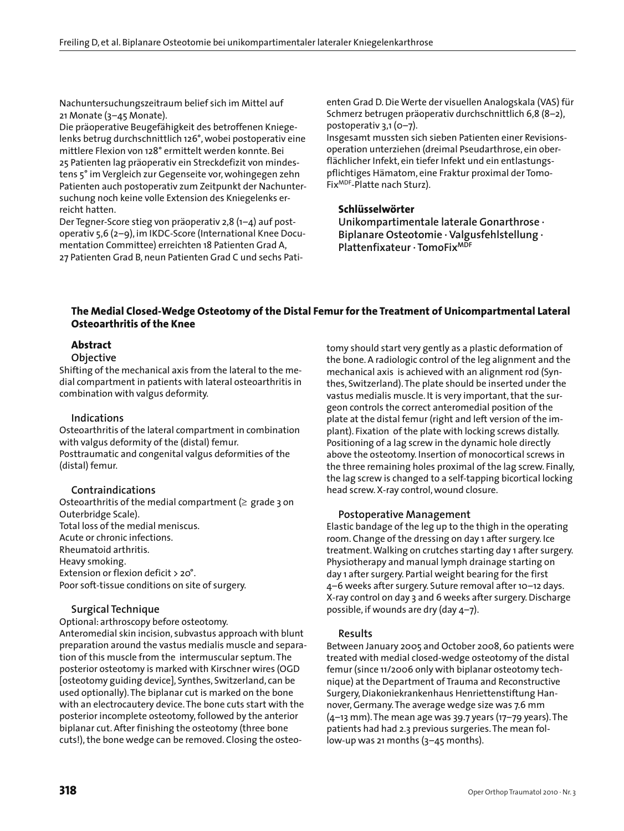Nachuntersuchungszeitraum belief sich im Mittel auf 21 Monate (3–45 Monate).

Die präoperative Beugefähigkeit des betroffenen Kniegelenks betrug durchschnittlich 126°, wobei postoperativ eine mittlere Flexion von 128° ermittelt werden konnte. Bei 25 Patienten lag präoperativ ein Streckdefizit von mindestens 5° im Vergleich zur Gegenseite vor, wohingegen zehn Patienten auch postoperativ zum Zeitpunkt der Nachuntersuchung noch keine volle Extension des Kniegelenks erreicht hatten.

Der Tegner-Score stieg von präoperativ 2,8 (1–4) auf postoperativ 5,6 (2–9), im IKDC-Score (International Knee Documentation Committee) erreichten 18 Patienten Grad A, 27 Patienten Grad B, neun Patienten Grad C und sechs Patienten Grad D. Die Werte der visuellen Analogskala (VAS) für Schmerz betrugen präoperativ durchschnittlich 6,8 (8–2), postoperativ 3,1 (0–7).

Insgesamt mussten sich sieben Patienten einer Revisionsoperation unterziehen (dreimal Pseudarthrose, ein oberflächlicher Infekt, ein tiefer Infekt und ein entlastungspflichtiges Hämatom, eine Fraktur proximal der Tomo-FixMDF-Platte nach Sturz).

## **Schlüsselwörter**

**Unikompartimentale laterale Gonarthrose · Biplanare Osteotomie · Valgusfehlstellung · Plattenfixateur · TomoFixMDF**

## **The Medial Closed-Wedge Osteotomy of the Distal Femur for the Treatment of Unicompartmental Lateral Osteoarthritis of the Knee**

# **Abstract**

### **Objective**

Shifting of the mechanical axis from the lateral to the medial compartment in patients with lateral osteoarthritis in combination with valgus deformity.

### **Indications**

Osteoarthritis of the lateral compartment in combination with valgus deformity of the (distal) femur. Posttraumatic and congenital valgus deformities of the (distal) femur.

## **Contraindications**

Osteoarthritis of the medial compartment ( $\geq$  grade 3 on Outerbridge Scale). Total loss of the medial meniscus. Acute or chronic infections. Rheumatoid arthritis. Heavy smoking. Extension or flexion deficit > 20°. Poor soft-tissue conditions on site of surgery.

## **Surgical Technique**

Optional: arthroscopy before osteotomy. Anteromedial skin incision, subvastus approach with blunt preparation around the vastus medialis muscle and separation of this muscle from the intermuscular septum. The posterior osteotomy is marked with Kirschner wires (OGD [osteotomy guiding device], Synthes, Switzerland, can be used optionally). The biplanar cut is marked on the bone with an electrocautery device. The bone cuts start with the posterior incomplete osteotomy, followed by the anterior biplanar cut. After finishing the osteotomy (three bone cuts!), the bone wedge can be removed. Closing the osteotomy should start very gently as a plastic deformation of the bone. A radiologic control of the leg alignment and the mechanical axis is achieved with an alignment rod (Synthes, Switzerland). The plate should be inserted under the vastus medialis muscle. It is very important, that the surgeon controls the correct anteromedial position of the plate at the distal femur (right and left version of the implant). Fixation of the plate with locking screws distally. Positioning of a lag screw in the dynamic hole directly above the osteotomy. Insertion of monocortical screws in the three remaining holes proximal of the lag screw. Finally, the lag screw is changed to a self-tapping bicortical locking head screw. X-ray control, wound closure.

### **Postoperative Management**

Elastic bandage of the leg up to the thigh in the operating room. Change of the dressing on day 1 after surgery. Ice treatment. Walking on crutches starting day 1 after surgery. Physiotherapy and manual lymph drainage starting on day 1 after surgery. Partial weight bearing for the first 4–6 weeks after surgery. Suture removal after 10–12 days. X-ray control on day 3 and 6 weeks after surgery. Discharge possible, if wounds are dry (day 4–7).

### **Results**

Between January 2005 and October 2008, 60 patients were treated with medial closed-wedge osteotomy of the distal femur (since 11/2006 only with biplanar osteotomy technique) at the Department of Trauma and Reconstructive Surgery, Diakoniekrankenhaus Henriettenstiftung Hannover, Germany. The average wedge size was 7.6 mm (4–13 mm). The mean age was 39.7 years (17–79 years). The patients had had 2.3 previous surgeries. The mean follow-up was 21 months (3–45 months).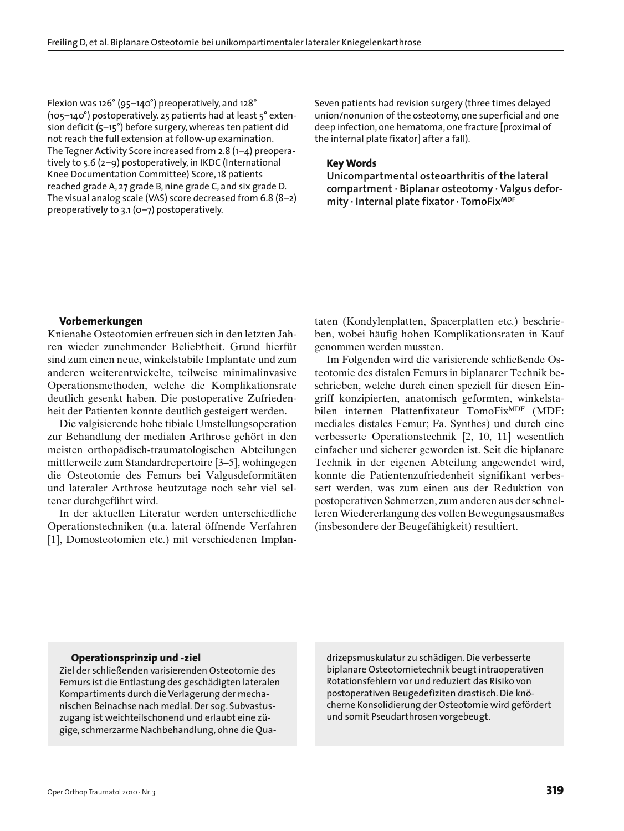Flexion was 126° (95–140°) preoperatively, and 128° (105–140°) postoperatively. 25 patients had at least 5° extension deficit (5–15°) before surgery, whereas ten patient did not reach the full extension at follow-up examination. The Tegner Activity Score increased from 2.8 (1–4) preoperatively to 5.6 (2–9) postoperatively, in IKDC (International Knee Documentation Committee) Score, 18 patients reached grade A, 27 grade B, nine grade C, and six grade D. The visual analog scale (VAS) score decreased from 6.8 (8–2) preoperatively to 3.1 (0–7) postoperatively.

Seven patients had revision surgery (three times delayed union/nonunion of the osteotomy, one superficial and one deep infection, one hematoma, one fracture [proximal of the internal plate fixator] after a fall).

### **Key Words**

**Unicompartmental osteoarthritis of the lateral compartment · Biplanar osteotomy · Valgus deformity · Internal plate fixator · TomoFixMDF**

#### **Vorbemerkungen**

Knienahe Osteotomien erfreuen sich in den letzten Jahren wieder zunehmender Beliebtheit. Grund hierfür sind zum einen neue, winkelstabile Implantate und zum anderen weiterentwickelte, teilweise minimalinvasive Operationsmethoden, welche die Komplikationsrate deutlich gesenkt haben. Die postoperative Zufriedenheit der Patienten konnte deutlich gesteigert werden.

Die valgisierende hohe tibiale Umstellungsoperation zur Behandlung der medialen Arthrose gehört in den meisten orthopädisch-traumatologischen Abteilungen mittlerweile zum Standardrepertoire [3–5], wohingegen die Osteotomie des Femurs bei Valgusdeformitäten und lateraler Arthrose heutzutage noch sehr viel seltener durchgeführt wird.

In der aktuellen Literatur werden unterschiedliche Operationstechniken (u.a. lateral öffnende Verfahren [1], Domosteotomien etc.) mit verschiedenen Implantaten (Kondylenplatten, Spacerplatten etc.) beschrieben, wobei häufig hohen Komplikationsraten in Kauf genommen werden mussten.

Im Folgenden wird die varisierende schließende Osteotomie des distalen Femurs in biplanarer Technik beschrieben, welche durch einen speziell für diesen Eingriff konzipierten, anatomisch geformten, winkelstabilen internen Plattenfixateur TomoFix<sup>MDF</sup> (MDF: mediales distales Femur; Fa. Synthes) und durch eine verbesserte Operationstechnik [2, 10, 11] wesentlich einfacher und sicherer geworden ist. Seit die biplanare Technik in der eigenen Abteilung angewendet wird, konnte die Patientenzufriedenheit signifikant verbessert werden, was zum einen aus der Reduktion von postoperativen Schmerzen, zum anderen aus der schnelleren Wiedererlangung des vollen Bewegungsausmaßes (insbesondere der Beugefähigkeit) resultiert.

#### **Operationsprinzip und -ziel**

Ziel der schließenden varisierenden Osteotomie des Femurs ist die Entlastung des geschädigten lateralen Kompartiments durch die Verlagerung der mechanischen Beinachse nach medial. Der sog. Subvastuszugang ist weichteilschonend und erlaubt eine zügige, schmerzarme Nachbehandlung, ohne die Quadrizepsmuskulatur zu schädigen. Die verbesserte biplanare Osteotomietechnik beugt intraoperativen Rotationsfehlern vor und reduziert das Risiko von postoperativen Beugedefiziten drastisch. Die knöcherne Konsolidierung der Osteotomie wird gefördert und somit Pseudarthrosen vorgebeugt.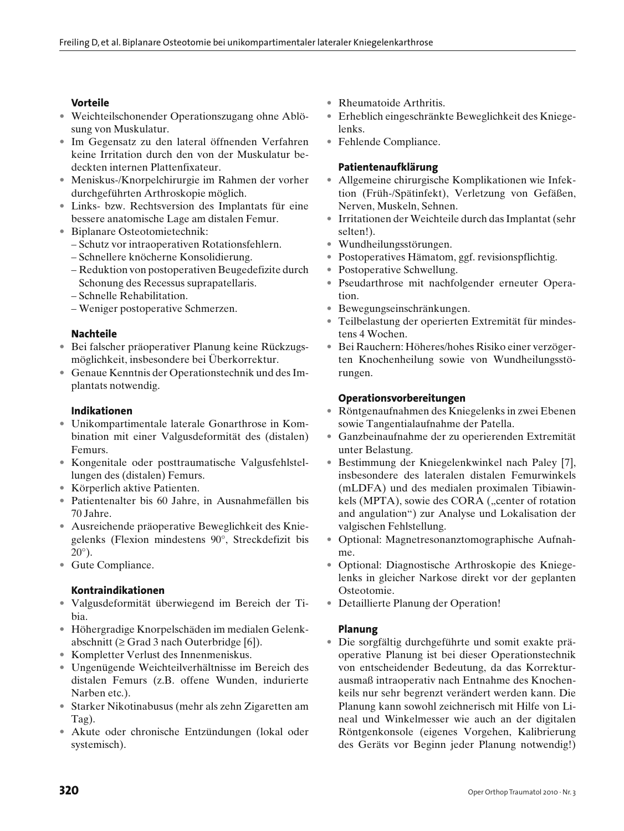# **Vorteile**

- Weichteilschonender Operationszugang ohne Ablösung von Muskulatur.
- Im Gegensatz zu den lateral öffnenden Verfahren keine Irritation durch den von der Muskulatur bedeckten internen Plattenfixateur.
- Meniskus-/Knorpelchirurgie im Rahmen der vorher durchgeführten Arthroskopie möglich.
- Links- bzw. Rechtsversion des Implantats für eine bessere anatomische Lage am distalen Femur.
- Biplanare Osteotomietechnik:
	- Schutz vor intraoperativen Rotationsfehlern.
	- Schnellere knöcherne Konsolidierung.
	- Reduktion von postoperativen Beugedefizite durch Schonung des Recessus suprapatellaris.
	- Schnelle Rehabilitation.
	- Weniger postoperative Schmerzen.

## **Nachteile**

- Bei falscher präoperativer Planung keine Rückzugsmöglichkeit, insbesondere bei Überkorrektur.
- Genaue Kenntnis der Operationstechnik und des Implantats notwendig.

## **Indikationen**

- Unikompartimentale laterale Gonarthrose in Kombination mit einer Valgusdeformität des (distalen) Femurs.
- Kongenitale oder posttraumatische Valgusfehlstellungen des (distalen) Femurs.
- Körperlich aktive Patienten.
- Patientenalter bis 60 Jahre, in Ausnahmefällen bis 70 Jahre.
- Ausreichende präoperative Beweglichkeit des Kniegelenks (Flexion mindestens 90°, Streckdefizit bis 20°).
- Gute Compliance.

## **Kontraindikationen**

- Valgusdeformität überwiegend im Bereich der Tibia.
- Höhergradige Knorpelschäden im medialen Gelenkabschnitt ( $\geq$  Grad 3 nach Outerbridge [6]).
- Kompletter Verlust des Innenmeniskus.
- Ungenügende Weichteilverhältnisse im Bereich des distalen Femurs (z.B. offene Wunden, indurierte Narben etc.).
- Starker Nikotinabusus (mehr als zehn Zigaretten am Tag).
- Akute oder chronische Entzündungen (lokal oder systemisch).
- Rheumatoide Arthritis.
- Erheblich eingeschränkte Beweglichkeit des Kniegelenks.
- Fehlende Compliance.

## **Patientenaufklärung**

- Allgemeine chirurgische Komplikationen wie Infektion (Früh-/Spätinfekt), Verletzung von Gefäßen, Nerven, Muskeln, Sehnen.
- Irritationen der Weichteile durch das Implantat (sehr selten!).
- Wundheilungsstörungen.
- Postoperatives Hämatom, ggf. revisionspflichtig.
- Postoperative Schwellung.
- Pseudarthrose mit nachfolgender erneuter Operation.
- Bewegungseinschränkungen.
- Teilbelastung der operierten Extremität für mindestens 4 Wochen.
- Bei Rauchern: Höheres/hohes Risiko einer verzögerten Knochenheilung sowie von Wundheilungsstörungen.

## **Operationsvorbereitungen**

- Röntgenaufnahmen des Kniegelenks in zwei Ebenen sowie Tangentialaufnahme der Patella.
- Ganzbeinaufnahme der zu operierenden Extremität unter Belastung.
- Bestimmung der Kniegelenkwinkel nach Paley [7], insbesondere des lateralen distalen Femurwinkels (mLDFA) und des medialen proximalen Tibiawinkels (MPTA), sowie des CORA ("center of rotation and angulation") zur Analyse und Lokalisation der valgischen Fehlstellung.
- Optional: Magnetresonanztomographische Aufnahme.
- Optional: Diagnostische Arthroskopie des Kniegelenks in gleicher Narkose direkt vor der geplanten Osteotomie.
- Detaillierte Planung der Operation!

## **Planung**

• Die sorgfältig durchgeführte und somit exakte präoperative Planung ist bei dieser Operationstechnik von entscheidender Bedeutung, da das Korrekturausmaß intraoperativ nach Entnahme des Knochenkeils nur sehr begrenzt verändert werden kann. Die Planung kann sowohl zeichnerisch mit Hilfe von Lineal und Winkelmesser wie auch an der digitalen Röntgenkonsole (eigenes Vorgehen, Kalibrierung des Geräts vor Beginn jeder Planung notwendig!)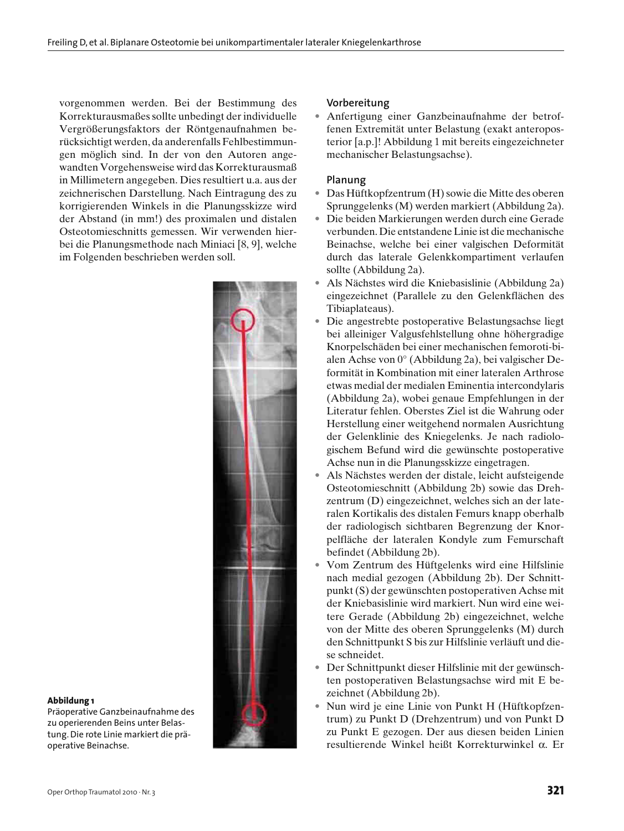vorgenommen werden. Bei der Bestimmung des Korrekturausmaßes sollte unbedingt der individuelle Vergrößerungsfaktors der Röntgenaufnahmen berücksichtigt werden, da anderenfalls Fehlbestimmungen möglich sind. In der von den Autoren angewandten Vorgehensweise wird das Korrekturausmaß in Millimetern angegeben. Dies resultiert u.a. aus der zeichnerischen Darstellung. Nach Eintragung des zu korrigierenden Winkels in die Planungsskizze wird der Abstand (in mm!) des proximalen und distalen Osteotomieschnitts gemessen. Wir verwenden hierbei die Planungsmethode nach Miniaci [8, 9], welche im Folgenden beschrieben werden soll.



#### **Abbildung 1**

Präoperative Ganzbeinaufnahme des zu operierenden Beins unter Belastung. Die rote Linie markiert die präoperative Beinachse.

## **Vorbereitung**

• Anfertigung einer Ganzbeinaufnahme der betroffenen Extremität unter Belastung (exakt anteroposterior [a.p.]! Abbildung 1 mit bereits eingezeichneter mechanischer Belastungsachse).

### **Planung**

- Das Hüftkopfzentrum (H) sowie die Mitte des oberen Sprunggelenks (M) werden markiert (Abbildung 2a).
- Die beiden Markierungen werden durch eine Gerade verbunden. Die entstandene Linie ist die mechanische Beinachse, welche bei einer valgischen Deformität durch das laterale Gelenkkompartiment verlaufen sollte (Abbildung 2a).
- Als Nächstes wird die Kniebasislinie (Abbildung 2a) eingezeichnet (Parallele zu den Gelenkflächen des Tibiaplateaus).
- Die angestrebte postoperative Belastungsachse liegt bei alleiniger Valgusfehlstellung ohne höhergradige Knorpelschäden bei einer mechanischen femoroti-bialen Achse von 0° (Abbildung 2a), bei valgischer Deformität in Kombination mit einer lateralen Arthrose etwas medial der medialen Eminentia intercondylaris (Abbildung 2a), wobei genaue Empfehlungen in der Literatur fehlen. Oberstes Ziel ist die Wahrung oder Herstellung einer weitgehend normalen Ausrichtung der Gelenklinie des Kniegelenks. Je nach radiologischem Befund wird die gewünschte postoperative Achse nun in die Planungsskizze eingetragen.
- Als Nächstes werden der distale, leicht aufsteigende Osteotomieschnitt (Abbildung 2b) sowie das Drehzentrum (D) eingezeichnet, welches sich an der lateralen Kortikalis des distalen Femurs knapp oberhalb der radiologisch sichtbaren Begrenzung der Knorpelfläche der lateralen Kondyle zum Femurschaft befindet (Abbildung 2b).
- Vom Zentrum des Hüftgelenks wird eine Hilfslinie nach medial gezogen (Abbildung 2b). Der Schnittpunkt (S) der gewünschten postoperativen Achse mit der Kniebasislinie wird markiert. Nun wird eine weitere Gerade (Abbildung 2b) eingezeichnet, welche von der Mitte des oberen Sprunggelenks (M) durch den Schnittpunkt S bis zur Hilfslinie verläuft und diese schneidet.
- Der Schnittpunkt dieser Hilfslinie mit der gewünschten postoperativen Belastungsachse wird mit E bezeichnet (Abbildung 2b).
- Nun wird je eine Linie von Punkt H (Hüftkopfzentrum) zu Punkt D (Drehzentrum) und von Punkt D zu Punkt E gezogen. Der aus diesen beiden Linien resultierende Winkel heißt Korrekturwinkel α. Er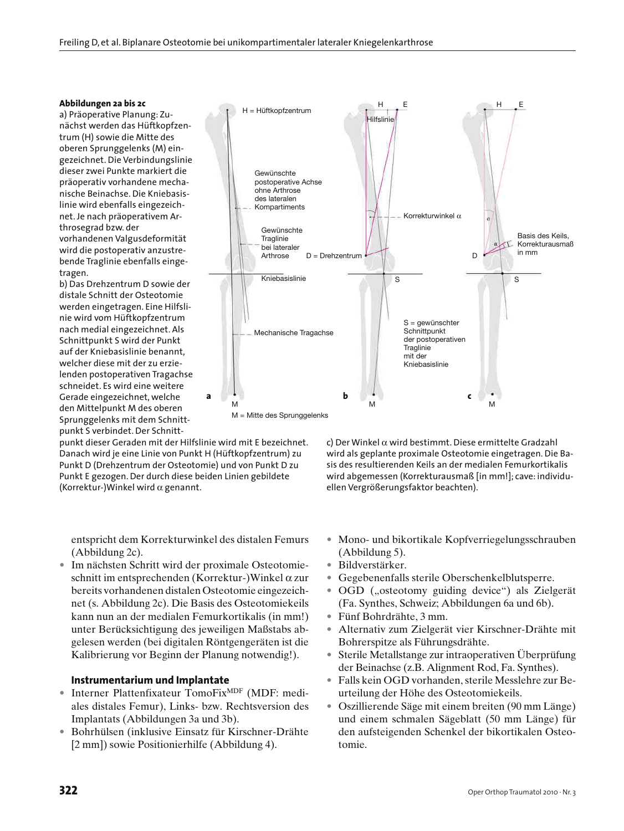#### **Abbildungen 2a bis 2c**

a) Präoperative Planung: Zunächst werden das Hüftkopfzentrum (H) sowie die Mitte des oberen Sprunggelenks (M) eingezeichnet. Die Verbindungslinie dieser zwei Punkte markiert die präoperativ vorhandene mechanische Beinachse. Die Kniebasislinie wird ebenfalls eingezeichnet. Je nach präoperativem Arthrosegrad bzw. der vorhandenen Valgusdeformität wird die postoperativ anzustrebende Traglinie ebenfalls eingetragen.

b) Das Drehzentrum D sowie der distale Schnitt der Osteotomie werden eingetragen. Eine Hilfslinie wird vom Hüftkopfzentrum nach medial eingezeichnet. Als Schnittpunkt S wird der Punkt auf der Kniebasislinie benannt, welcher diese mit der zu erzielenden postoperativen Tragachse schneidet. Es wird eine weitere Gerade eingezeichnet, welche den Mittelpunkt M des oberen Sprunggelenks mit dem Schnittpunkt S verbindet. Der Schnitt-

punkt dieser Geraden mit der Hilfslinie wird mit E bezeichnet. Danach wird je eine Linie von Punkt H (Hüftkopfzentrum) zu Punkt D (Drehzentrum der Osteotomie) und von Punkt D zu Punkt E gezogen. Der durch diese beiden Linien gebildete (Korrektur-)Winkel wird  $\alpha$  genannt.

entspricht dem Korrekturwinkel des distalen Femurs (Abbildung 2c).

• Im nächsten Schritt wird der proximale Osteotomieschnitt im entsprechenden (Korrektur-)Winkel α zur bereits vorhandenen distalen Osteotomie eingezeichnet (s. Abbildung 2c). Die Basis des Osteotomiekeils kann nun an der medialen Femurkortikalis (in mm!) unter Berücksichtigung des jeweiligen Maßstabs abgelesen werden (bei digitalen Röntgengeräten ist die Kalibrierung vor Beginn der Planung notwendig!).

### **Instrumentarium und Implantate**

- Interner Plattenfixateur TomoFix<sup>MDF</sup> (MDF: mediales distales Femur), Links- bzw. Rechtsversion des Implantats (Abbildungen 3a und 3b).
- Bohrhülsen (inklusive Einsatz für Kirschner-Drähte [2 mm]) sowie Positionierhilfe (Abbildung 4).



c) Der Winkel α wird bestimmt. Diese ermittelte Gradzahl wird als geplante proximale Osteotomie eingetragen. Die Basis des resultierenden Keils an der medialen Femurkortikalis wird abgemessen (Korrekturausmaß [in mm!]; cave: individuellen Vergrößerungsfaktor beachten).

- Mono- und bikortikale Kopfverriegelungsschrauben (Abbildung 5).
- Bildverstärker.
- Gegebenenfalls sterile Oberschenkelblutsperre.
- OGD ("osteotomy guiding device") als Zielgerät (Fa. Synthes, Schweiz; Abbildungen 6a und 6b).
- Fünf Bohrdrähte, 3 mm.
- Alternativ zum Zielgerät vier Kirschner-Drähte mit Bohrerspitze als Führungsdrähte.
- Sterile Metallstange zur intraoperativen Überprüfung der Beinachse (z.B. Alignment Rod, Fa. Synthes).
- Falls kein OGD vorhanden, sterile Messlehre zur Beurteilung der Höhe des Osteotomiekeils.
- Oszillierende Säge mit einem breiten (90 mm Länge) und einem schmalen Sägeblatt (50 mm Länge) für den aufsteigenden Schenkel der bikortikalen Osteotomie.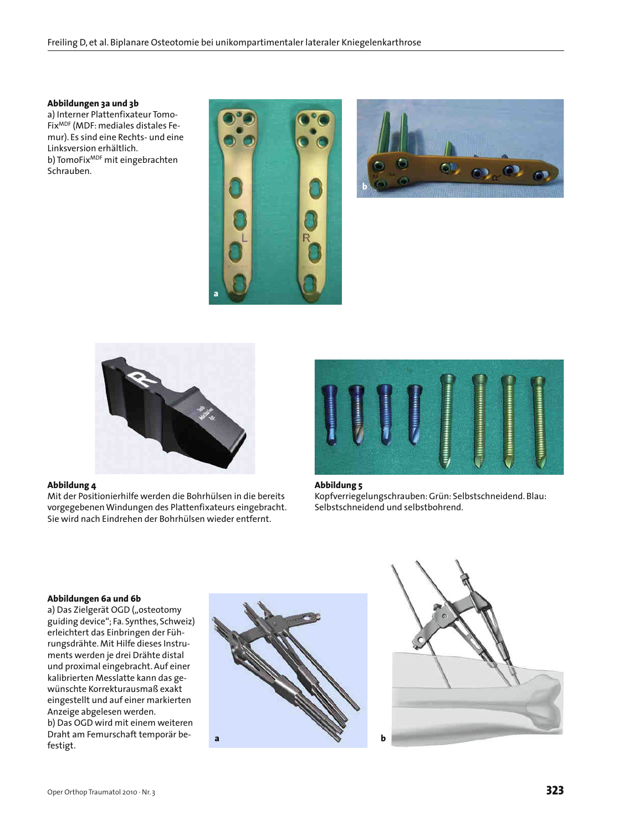### **Abbildungen 3a und 3b**

a) Interner Plattenfixateur Tomo-FixMDF (MDF: mediales distales Femur). Es sind eine Rechts- und eine Linksversion erhältlich. b) TomoFix<sup>MDF</sup> mit eingebrachten Schrauben.







#### **Abbildung 4**

Mit der Positionierhilfe werden die Bohrhülsen in die bereits vorgegebenen Windungen des Plattenfixateurs eingebracht. Sie wird nach Eindrehen der Bohrhülsen wieder entfernt.



**Abbildung 5** Kopfverriegelungschrauben: Grün: Selbstschneidend. Blau: Selbstschneidend und selbstbohrend.

#### **Abbildungen 6a und 6b**

a) Das Zielgerät OGD ("osteotomy guiding device"; Fa. Synthes, Schweiz) erleichtert das Einbringen der Führungsdrähte. Mit Hilfe dieses Instruments werden je drei Drähte distal und proximal eingebracht. Auf einer kalibrierten Messlatte kann das gewünschte Korrekturausmaß exakt eingestellt und auf einer markierten Anzeige abgelesen werden. b) Das OGD wird mit einem weiteren Draht am Femurschaft temporär befestigt.



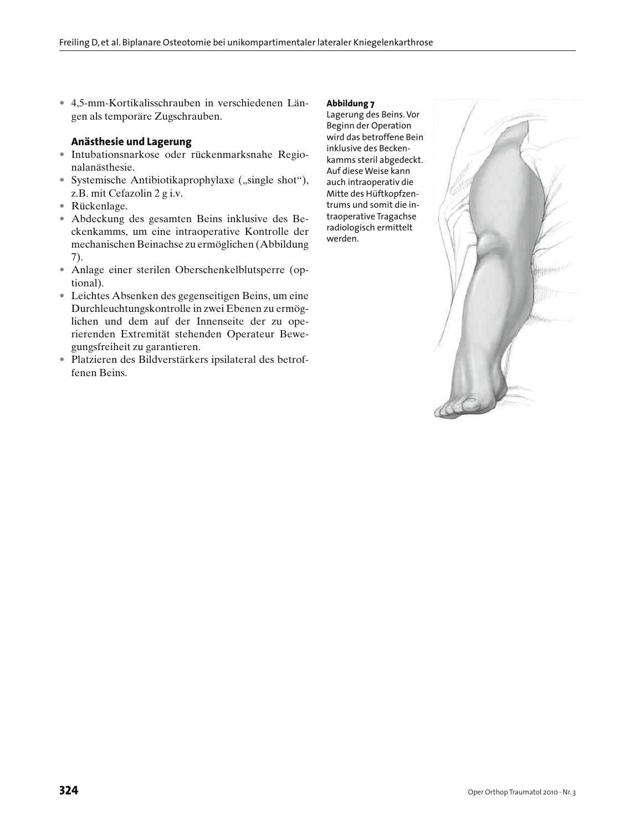• 4,5-mm-Kortikalisschrauben in verschiedenen Längen als temporäre Zugschrauben.

## **Anästhesie und Lagerung**

- Intubationsnarkose oder rückenmarksnahe Regionalanästhesie.
- Systemische Antibiotikaprophylaxe ("single shot"), z.B. mit Cefazolin 2 g i.v.
- Rückenlage.
- Abdeckung des gesamten Beins inklusive des Beckenkamms, um eine intraoperative Kontrolle der mechanischen Beinachse zu ermöglichen (Abbildung 7).
- Anlage einer sterilen Oberschenkelblutsperre (optional).
- Leichtes Absenken des gegenseitigen Beins, um eine Durchleuchtungskontrolle in zwei Ebenen zu ermöglichen und dem auf der Innenseite der zu operierenden Extremität stehenden Operateur Bewegungsfreiheit zu garantieren.
- Platzieren des Bildverstärkers ipsilateral des betroffenen Beins.

#### **Abbildung 7**

Lagerung des Beins. Vor Beginn der Operation wird das betroffene Bein inklusive des Beckenkamms steril abgedeckt. Auf diese Weise kann auch intraoperativ die Mitte des Hüftkopfzentrums und somit die intraoperative Tragachse radiologisch ermittelt werden.

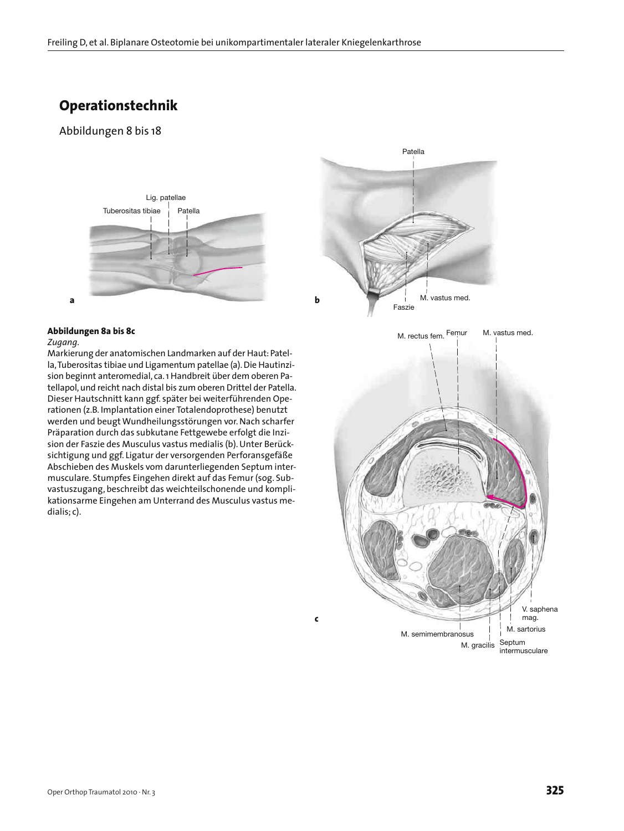# **Operationstechnik**

# Abbildungen 8 bis 18



#### **Abbildungen 8a bis 8c**

#### *Zugang.*

Markierung der anatomischen Landmarken auf der Haut: Patella, Tuberositas tibiae und Ligamentum patellae (a). Die Hautinzision beginnt anteromedial, ca. 1 Handbreit über dem oberen Patellapol, und reicht nach distal bis zum oberen Drittel der Patella. Dieser Hautschnitt kann ggf. später bei weiterführenden Operationen (z.B. Implantation einer Totalendoprothese) benutzt werden und beugt Wundheilungsstörungen vor. Nach scharfer Präparation durch das subkutane Fettgewebe erfolgt die Inzision der Faszie des Musculus vastus medialis (b). Unter Berücksichtigung und ggf. Ligatur der versorgenden Perforansgefäße Abschieben des Muskels vom darunterliegenden Septum intermusculare. Stumpfes Eingehen direkt auf das Femur (sog. Subvastuszugang, beschreibt das weichteilschonende und komplikationsarme Eingehen am Unterrand des Musculus vastus medialis; c).

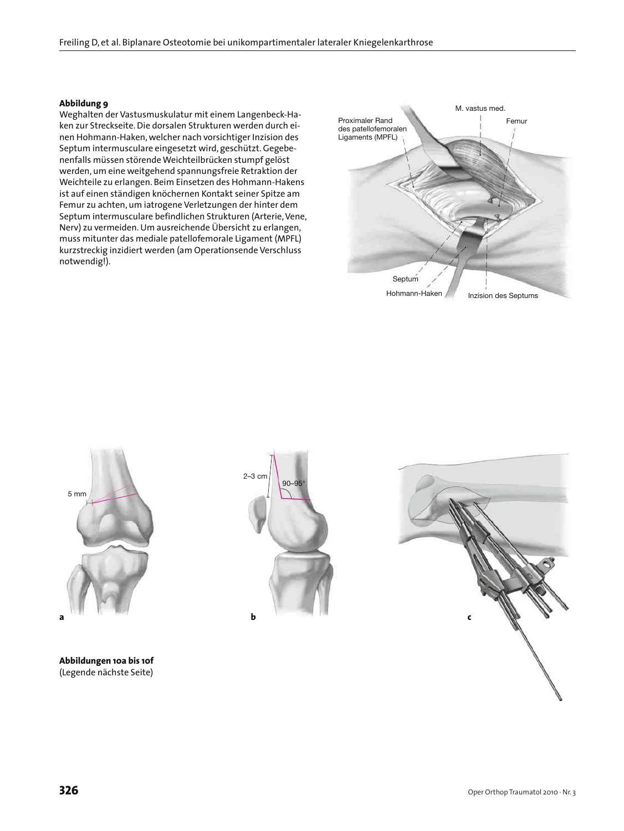#### **Abbildung 9**

Weghalten der Vastusmuskulatur mit einem Langenbeck-Haken zur Streckseite. Die dorsalen Strukturen werden durch einen Hohmann-Haken, welcher nach vorsichtiger Inzision des Septum intermusculare eingesetzt wird, geschützt. Gegebenenfalls müssen störende Weichteilbrücken stumpf gelöst werden, um eine weitgehend spannungsfreie Retraktion der Weichteile zu erlangen. Beim Einsetzen des Hohmann-Hakens ist auf einen ständigen knöchernen Kontakt seiner Spitze am Femur zu achten, um iatrogene Verletzungen der hinter dem Septum intermusculare befindlichen Strukturen (Arterie, Vene, Nerv) zu vermeiden. Um ausreichende Übersicht zu erlangen, muss mitunter das mediale patellofemorale Ligament (MPFL) kurzstreckig inzidiert werden (am Operationsende Verschluss notwendig!).





**Abbildungen 10a bis 10f** (Legende nächste Seite)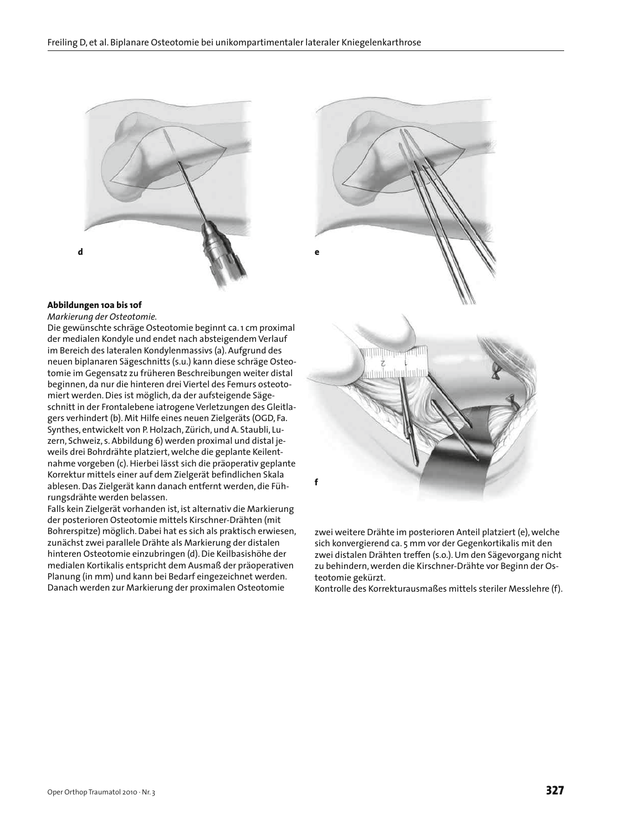

### **Abbildungen 10a bis 10f**

*Markierung der Osteotomie.*

Die gewünschte schräge Osteotomie beginnt ca. 1 cm proximal der medialen Kondyle und endet nach absteigendem Verlauf im Bereich des lateralen Kondylenmassivs (a). Aufgrund des neuen biplanaren Sägeschnitts (s.u.) kann diese schräge Osteotomie im Gegensatz zu früheren Beschreibungen weiter distal beginnen, da nur die hinteren drei Viertel des Femurs osteotomiert werden. Dies ist möglich, da der aufsteigende Sägeschnitt in der Frontalebene iatrogene Verletzungen des Gleitlagers verhindert (b). Mit Hilfe eines neuen Zielgeräts (OGD, Fa. Synthes, entwickelt von P. Holzach, Zürich, und A. Staubli, Luzern, Schweiz, s. Abbildung 6) werden proximal und distal jeweils drei Bohrdrähte platziert, welche die geplante Keilentnahme vorgeben (c). Hierbei lässt sich die präoperativ geplante Korrektur mittels einer auf dem Zielgerät befindlichen Skala ablesen. Das Zielgerät kann danach entfernt werden, die Führungsdrähte werden belassen.

Falls kein Zielgerät vorhanden ist, ist alternativ die Markierung der posterioren Osteotomie mittels Kirschner-Drähten (mit Bohrerspitze) möglich. Dabei hat es sich als praktisch erwiesen, zunächst zwei parallele Drähte als Markierung der distalen hinteren Osteotomie einzubringen (d). Die Keilbasishöhe der medialen Kortikalis entspricht dem Ausmaß der präoperativen Planung (in mm) und kann bei Bedarf eingezeichnet werden. Danach werden zur Markierung der proximalen Osteotomie



zwei weitere Drähte im posterioren Anteil platziert (e), welche sich konvergierend ca. 5 mm vor der Gegenkortikalis mit den zwei distalen Drähten treffen (s.o.). Um den Sägevorgang nicht zu behindern, werden die Kirschner-Drähte vor Beginn der Osteotomie gekürzt.

Kontrolle des Korrekturausmaßes mittels steriler Messlehre (f).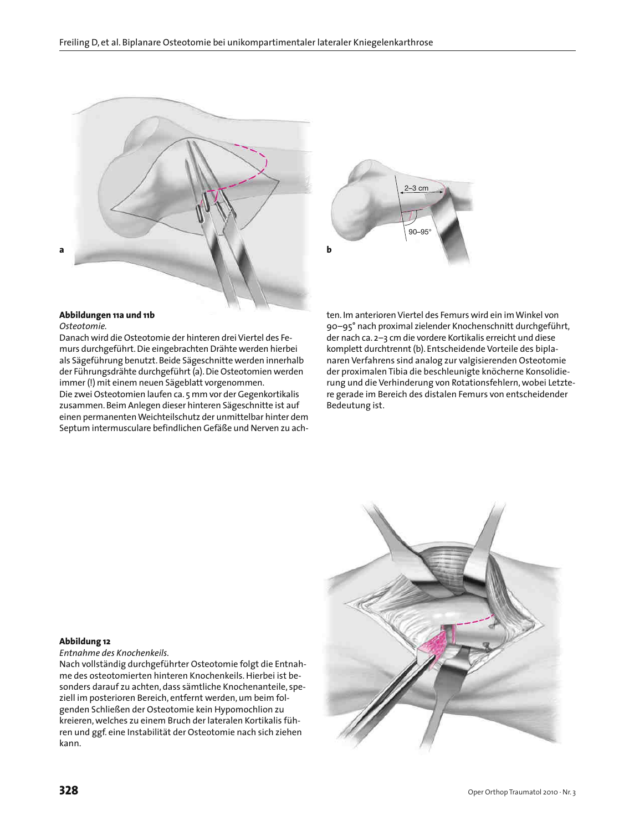



# **Abbildungen 11a und 11b**

#### *Osteotomie.*

Danach wird die Osteotomie der hinteren drei Viertel des Femurs durchgeführt. Die eingebrachten Drähte werden hierbei als Sägeführung benutzt. Beide Sägeschnitte werden innerhalb der Führungsdrähte durchgeführt (a). Die Osteotomien werden immer (!) mit einem neuen Sägeblatt vorgenommen. Die zwei Osteotomien laufen ca. 5 mm vor der Gegenkortikalis zusammen. Beim Anlegen dieser hinteren Sägeschnitte ist auf einen permanenten Weichteilschutz der unmittelbar hinter dem Septum intermusculare befindlichen Gefäße und Nerven zu achten. Im anterioren Viertel des Femurs wird ein im Winkel von 90–95° nach proximal zielender Knochenschnitt durchgeführt, der nach ca. 2–3 cm die vordere Kortikalis erreicht und diese komplett durchtrennt (b). Entscheidende Vorteile des biplanaren Verfahrens sind analog zur valgisierenden Osteotomie der proximalen Tibia die beschleunigte knöcherne Konsolidierung und die Verhinderung von Rotationsfehlern, wobei Letztere gerade im Bereich des distalen Femurs von entscheidender Bedeutung ist.

#### **Abbildung 12**

*Entnahme des Knochenkeils.*

Nach vollständig durchgeführter Osteotomie folgt die Entnahme des osteotomierten hinteren Knochenkeils. Hierbei ist besonders darauf zu achten, dass sämtliche Knochenanteile, speziell im posterioren Bereich, entfernt werden, um beim folgenden Schließen der Osteotomie kein Hypomochlion zu kreieren, welches zu einem Bruch der lateralen Kortikalis führen und ggf. eine Instabilität der Osteotomie nach sich ziehen kann.

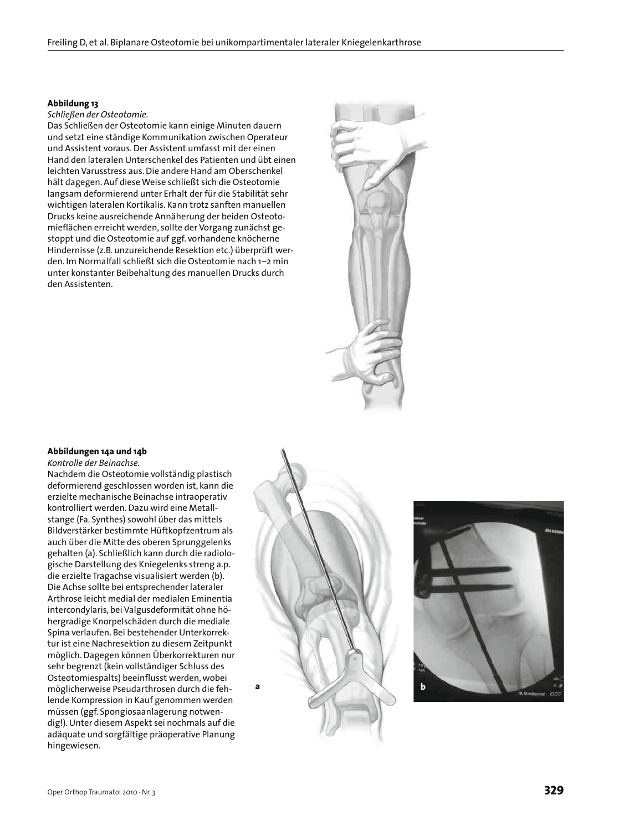#### **Abbildung 13**

*Schließen der Osteotomie.*

Das Schließen der Osteotomie kann einige Minuten dauern und setzt eine ständige Kommunikation zwischen Operateur und Assistent voraus. Der Assistent umfasst mit der einen Hand den lateralen Unterschenkel des Patienten und übt einen leichten Varusstress aus. Die andere Hand am Oberschenkel hält dagegen. Auf diese Weise schließt sich die Osteotomie langsam deformierend unter Erhalt der für die Stabilität sehr wichtigen lateralen Kortikalis. Kann trotz sanften manuellen Drucks keine ausreichende Annäherung der beiden Osteotomieflächen erreicht werden, sollte der Vorgang zunächst gestoppt und die Osteotomie auf ggf. vorhandene knöcherne Hindernisse (z.B. unzureichende Resektion etc.) überprüft werden. Im Normalfall schließt sich die Osteotomie nach 1–2 min unter konstanter Beibehaltung des manuellen Drucks durch den Assistenten.



## **Abbildungen 14a und 14b**

*Kontrolle der Beinachse.*

Nachdem die Osteotomie vollständig plastisch deformierend geschlossen worden ist, kann die erzielte mechanische Beinachse intraoperativ kontrolliert werden. Dazu wird eine Metallstange (Fa. Synthes) sowohl über das mittels Bildverstärker bestimmte Hüftkopfzentrum als auch über die Mitte des oberen Sprunggelenks gehalten (a). Schließlich kann durch die radiologische Darstellung des Kniegelenks streng a.p. die erzielte Tragachse visualisiert werden (b). Die Achse sollte bei entsprechender lateraler Arthrose leicht medial der medialen Eminentia intercondylaris, bei Valgusdeformität ohne höhergradige Knorpelschäden durch die mediale Spina verlaufen. Bei bestehender Unterkorrektur ist eine Nachresektion zu diesem Zeitpunkt möglich. Dagegen können Überkorrekturen nur sehr begrenzt (kein vollständiger Schluss des Osteotomiespalts) beeinflusst werden, wobei möglicherweise Pseudarthrosen durch die fehlende Kompression in Kauf genommen werden müssen (ggf. Spongiosaanlagerung notwendig!). Unter diesem Aspekt sei nochmals auf die adäquate und sorgfältige präoperative Planung hingewiesen.



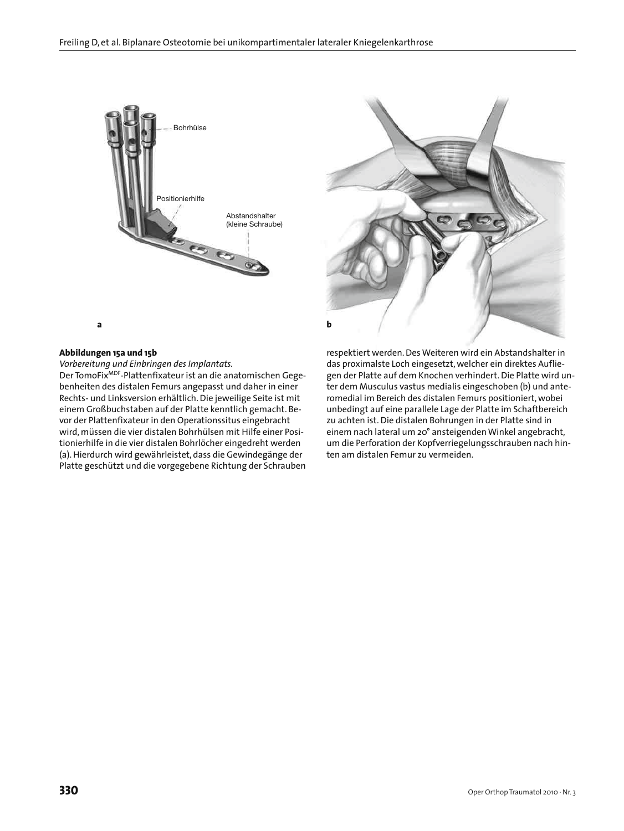

# **Abbildungen 15a und 15b**

*Vorbereitung und Einbringen des Implantats.*

Der TomoFixMDF-Plattenfixateur ist an die anatomischen Gegebenheiten des distalen Femurs angepasst und daher in einer Rechts- und Linksversion erhältlich. Die jeweilige Seite ist mit einem Großbuchstaben auf der Platte kenntlich gemacht. Bevor der Plattenfixateur in den Operationssitus eingebracht wird, müssen die vier distalen Bohrhülsen mit Hilfe einer Positionierhilfe in die vier distalen Bohrlöcher eingedreht werden (a). Hierdurch wird gewährleistet, dass die Gewindegänge der Platte geschützt und die vorgegebene Richtung der Schrauben



respektiert werden. Des Weiteren wird ein Abstandshalter in das proximalste Loch eingesetzt, welcher ein direktes Aufliegen der Platte auf dem Knochen verhindert. Die Platte wird unter dem Musculus vastus medialis eingeschoben (b) und anteromedial im Bereich des distalen Femurs positioniert, wobei unbedingt auf eine parallele Lage der Platte im Schaftbereich zu achten ist. Die distalen Bohrungen in der Platte sind in einem nach lateral um 20° ansteigenden Winkel angebracht, um die Perforation der Kopfverriegelungsschrauben nach hinten am distalen Femur zu vermeiden.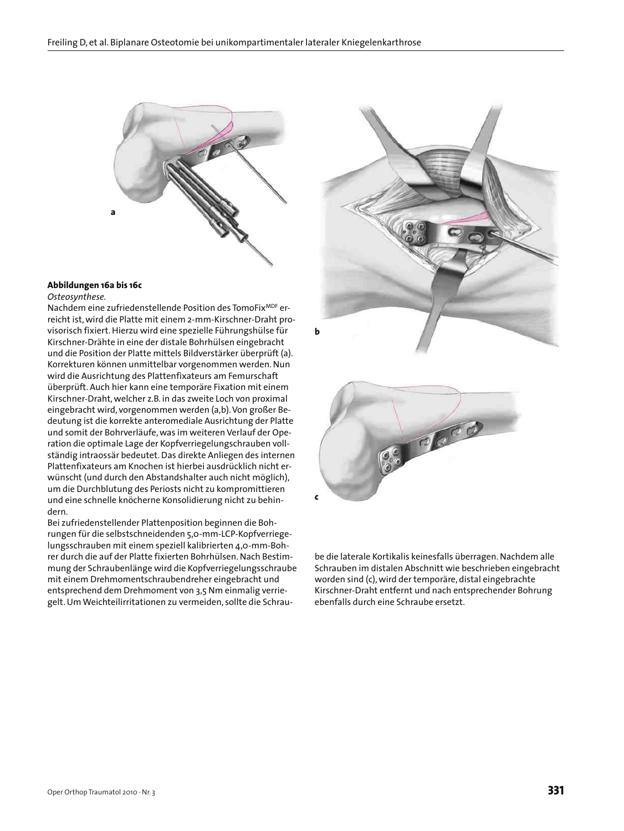

# **Abbildungen 16a bis 16c**

*Osteosynthese.*

Nachdem eine zufriedenstellende Position des TomoFixMDF erreicht ist, wird die Platte mit einem 2-mm-Kirschner-Draht provisorisch fixiert. Hierzu wird eine spezielle Führungshülse für Kirschner-Drähte in eine der distale Bohrhülsen eingebracht und die Position der Platte mittels Bildverstärker überprüft (a). Korrekturen können unmittelbar vorgenommen werden. Nun wird die Ausrichtung des Plattenfixateurs am Femurschaft überprüft. Auch hier kann eine temporäre Fixation mit einem Kirschner-Draht, welcher z.B. in das zweite Loch von proximal eingebracht wird, vorgenommen werden (a,b). Von großer Bedeutung ist die korrekte anteromediale Ausrichtung der Platte und somit der Bohrverläufe, was im weiteren Verlauf der Operation die optimale Lage der Kopfverriegelungschrauben vollständig intraossär bedeutet. Das direkte Anliegen des internen Plattenfixateurs am Knochen ist hierbei ausdrücklich nicht erwünscht (und durch den Abstandshalter auch nicht möglich), um die Durchblutung des Periosts nicht zu kompromittieren und eine schnelle knöcherne Konsolidierung nicht zu behindern.

Bei zufriedenstellender Plattenposition beginnen die Bohrungen für die selbstschneidenden 5,0-mm-LCP-Kopfverriegelungsschrauben mit einem speziell kalibrierten 4,0-mm-Bohrer durch die auf der Platte fixierten Bohrhülsen. Nach Bestimmung der Schraubenlänge wird die Kopfverriegelungsschraube mit einem Drehmomentschraubendreher eingebracht und entsprechend dem Drehmoment von 3,5 Nm einmalig verriegelt. Um Weichteilirritationen zu vermeiden, sollte die Schrau-





be die laterale Kortikalis keinesfalls überragen. Nachdem alle Schrauben im distalen Abschnitt wie beschrieben eingebracht worden sind (c), wird der temporäre, distal eingebrachte Kirschner-Draht entfernt und nach entsprechender Bohrung ebenfalls durch eine Schraube ersetzt.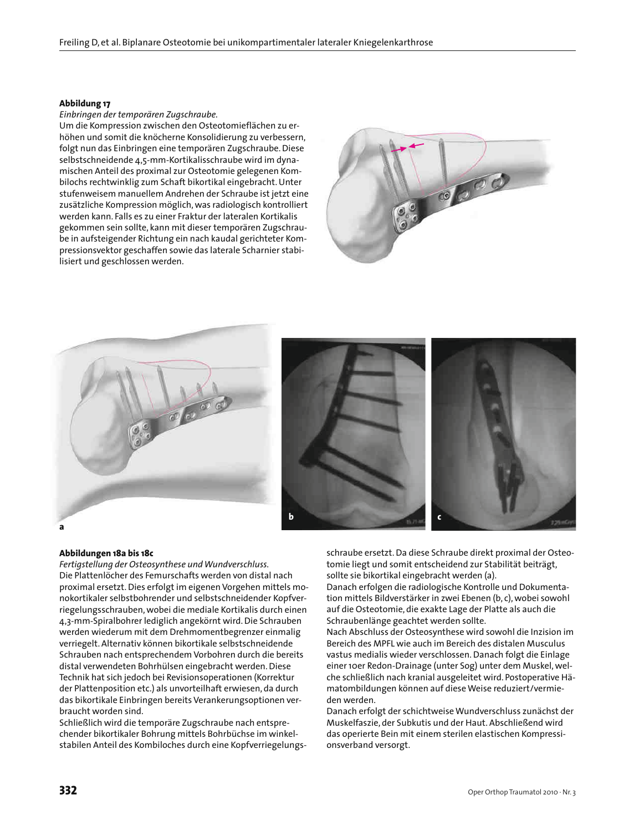#### **Abbildung 17**

#### *Einbringen der temporären Zugschraube.*

Um die Kompression zwischen den Osteotomieflächen zu erhöhen und somit die knöcherne Konsolidierung zu verbessern, folgt nun das Einbringen eine temporären Zugschraube. Diese selbstschneidende 4,5-mm-Kortikalisschraube wird im dynamischen Anteil des proximal zur Osteotomie gelegenen Kombilochs rechtwinklig zum Schaft bikortikal eingebracht. Unter stufenweisem manuellem Andrehen der Schraube ist jetzt eine zusätzliche Kompression möglich, was radiologisch kontrolliert werden kann. Falls es zu einer Fraktur der lateralen Kortikalis gekommen sein sollte, kann mit dieser temporären Zugschraube in aufsteigender Richtung ein nach kaudal gerichteter Kompressionsvektor geschaffen sowie das laterale Scharnier stabilisiert und geschlossen werden.





#### **Abbildungen 18a bis 18c**

*Fertigstellung der Osteosynthese und Wundverschluss.* Die Plattenlöcher des Femurschafts werden von distal nach proximal ersetzt. Dies erfolgt im eigenen Vorgehen mittels monokortikaler selbstbohrender und selbstschneidender Kopfverriegelungsschrauben, wobei die mediale Kortikalis durch einen 4,3-mm-Spiralbohrer lediglich angekörnt wird. Die Schrauben werden wiederum mit dem Drehmomentbegrenzer einmalig verriegelt. Alternativ können bikortikale selbstschneidende Schrauben nach entsprechendem Vorbohren durch die bereits distal verwendeten Bohrhülsen eingebracht werden. Diese Technik hat sich jedoch bei Revisionsoperationen (Korrektur der Plattenposition etc.) als unvorteilhaft erwiesen, da durch das bikortikale Einbringen bereits Verankerungsoptionen verbraucht worden sind.

Schließlich wird die temporäre Zugschraube nach entsprechender bikortikaler Bohrung mittels Bohrbüchse im winkelstabilen Anteil des Kombiloches durch eine Kopfverriegelungsschraube ersetzt. Da diese Schraube direkt proximal der Osteotomie liegt und somit entscheidend zur Stabilität beiträgt, sollte sie bikortikal eingebracht werden (a).

Danach erfolgen die radiologische Kontrolle und Dokumentation mittels Bildverstärker in zwei Ebenen (b, c), wobei sowohl auf die Osteotomie, die exakte Lage der Platte als auch die Schraubenlänge geachtet werden sollte.

Nach Abschluss der Osteosynthese wird sowohl die Inzision im Bereich des MPFL wie auch im Bereich des distalen Musculus vastus medialis wieder verschlossen. Danach folgt die Einlage einer 10er Redon-Drainage (unter Sog) unter dem Muskel, welche schließlich nach kranial ausgeleitet wird. Postoperative Hämatombildungen können auf diese Weise reduziert/vermieden werden.

Danach erfolgt der schichtweise Wundverschluss zunächst der Muskelfaszie, der Subkutis und der Haut. Abschließend wird das operierte Bein mit einem sterilen elastischen Kompressionsverband versorgt.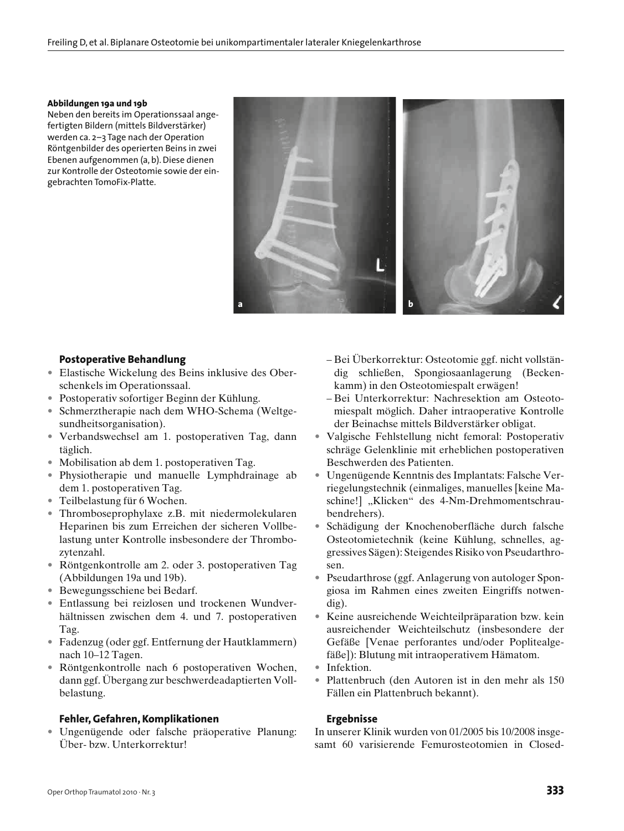#### **Abbildungen 19a und 19b**

Neben den bereits im Operationssaal angefertigten Bildern (mittels Bildverstärker) werden ca. 2–3 Tage nach der Operation Röntgenbilder des operierten Beins in zwei Ebenen aufgenommen (a, b). Diese dienen zur Kontrolle der Osteotomie sowie der eingebrachten TomoFix-Platte.



## **Postoperative Behandlung**

- Elastische Wickelung des Beins inklusive des Oberschenkels im Operationssaal.
- Postoperativ sofortiger Beginn der Kühlung.
- Schmerztherapie nach dem WHO-Schema (Weltgesundheitsorganisation).
- Verbandswechsel am 1. postoperativen Tag, dann täglich.
- Mobilisation ab dem 1. postoperativen Tag.
- Physiotherapie und manuelle Lymphdrainage ab dem 1. postoperativen Tag.
- Teilbelastung für 6 Wochen.
- Thromboseprophylaxe z.B. mit niedermolekularen Heparinen bis zum Erreichen der sicheren Vollbelastung unter Kontrolle insbesondere der Thrombozytenzahl.
- Röntgenkontrolle am 2. oder 3. postoperativen Tag (Abbildungen 19a und 19b).
- Bewegungsschiene bei Bedarf.
- Entlassung bei reizlosen und trockenen Wundverhältnissen zwischen dem 4. und 7. postoperativen Tag.
- Fadenzug (oder ggf. Entfernung der Hautklammern) nach 10–12 Tagen.
- Röntgenkontrolle nach 6 postoperativen Wochen, dann ggf. Übergang zur beschwerdeadaptierten Vollbelastung.

## **Fehler, Gefahren, Komplikationen**

• Ungenügende oder falsche präoperative Planung: Über- bzw. Unterkorrektur!

- Bei Überkorrektur: Osteotomie ggf. nicht vollständig schließen, Spongiosaanlagerung (Beckenkamm) in den Osteotomiespalt erwägen!
- Bei Unterkorrektur: Nachresektion am Osteotomiespalt möglich. Daher intraoperative Kontrolle der Beinachse mittels Bildverstärker obligat.
- Valgische Fehlstellung nicht femoral: Postoperativ schräge Gelenklinie mit erheblichen postoperativen Beschwerden des Patienten.
- Ungenügende Kenntnis des Implantats: Falsche Verriegelungstechnik (einmaliges, manuelles [keine Maschine!] "Klicken" des 4-Nm-Drehmomentschraubendrehers).
- Schädigung der Knochenoberfläche durch falsche Osteotomietechnik (keine Kühlung, schnelles, aggressives Sägen): Steigendes Risiko von Pseudarthrosen.
- Pseudarthrose (ggf. Anlagerung von autologer Spongiosa im Rahmen eines zweiten Eingriffs notwendig).
- Keine ausreichende Weichteilpräparation bzw. kein ausreichender Weichteilschutz (insbesondere der Gefäße [Venae perforantes und/oder Poplitealgefäße]): Blutung mit intraoperativem Hämatom.
- Infektion.
- Plattenbruch (den Autoren ist in den mehr als 150 Fällen ein Plattenbruch bekannt).

## **Ergebnisse**

In unserer Klinik wurden von 01/2005 bis 10/2008 insgesamt 60 varisierende Femurosteotomien in Closed-